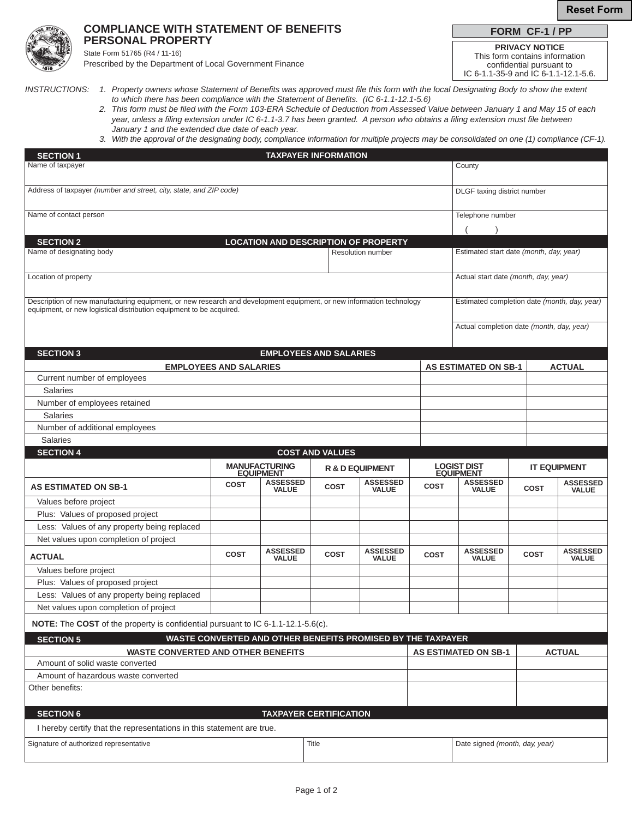

## **COMPLIANCE WITH STATEMENT OF BENEFITS PERSONAL PROPERTY**

State Form 51765 (R4 / 11-16)

Prescribed by the Department of Local Government Finance

**PRIVACY NOTICE FORM CF-1 / PP**

This form contains information confidential pursuant to IC 6-1.1-35-9 and IC 6-1.1-12.1-5.6.

*INSTRUCTIONS: 1. Property owners whose Statement of Benefits was approved must file this form with the local Designating Body to show the extent*

- *to which there has been compliance with the Statement of Benefits. (IC 6-1.1-12.1-5.6) 2. This form must be filed with the Form 103-ERA Schedule of Deduction from Assessed Value between January 1 and May 15 of each year, unless a filing extension under IC 6-1.1-3.7 has been granted. A person who obtains a filing extension must file between January 1 and the extended due date of each year.*
	- *3. With the approval of the designating body, compliance information for multiple projects may be consolidated on one (1) compliance (CF-1).*

| <b>SECTION 1</b><br><b>TAXPAYER INFORMATION</b>                                                                                                                                             |                          |                                          |                               |                                                             |             |                                              |             |                                 |  |
|---------------------------------------------------------------------------------------------------------------------------------------------------------------------------------------------|--------------------------|------------------------------------------|-------------------------------|-------------------------------------------------------------|-------------|----------------------------------------------|-------------|---------------------------------|--|
| Name of taxpayer                                                                                                                                                                            |                          |                                          |                               |                                                             |             |                                              | County      |                                 |  |
|                                                                                                                                                                                             |                          |                                          |                               |                                                             |             |                                              |             |                                 |  |
| Address of taxpayer (number and street, city, state, and ZIP code)                                                                                                                          |                          |                                          |                               |                                                             |             | DLGF taxing district number                  |             |                                 |  |
|                                                                                                                                                                                             |                          |                                          |                               |                                                             |             |                                              |             |                                 |  |
| Name of contact person                                                                                                                                                                      |                          |                                          |                               |                                                             |             | Telephone number                             |             |                                 |  |
|                                                                                                                                                                                             |                          |                                          |                               |                                                             |             |                                              |             |                                 |  |
| <b>SECTION 2</b>                                                                                                                                                                            |                          |                                          |                               | <b>LOCATION AND DESCRIPTION OF PROPERTY</b>                 |             |                                              |             |                                 |  |
| Name of designating body                                                                                                                                                                    | <b>Resolution number</b> |                                          |                               |                                                             |             | Estimated start date (month, day, year)      |             |                                 |  |
|                                                                                                                                                                                             |                          |                                          |                               |                                                             |             |                                              |             |                                 |  |
| Location of property                                                                                                                                                                        |                          |                                          |                               |                                                             |             | Actual start date (month, day, year)         |             |                                 |  |
|                                                                                                                                                                                             |                          |                                          |                               |                                                             |             |                                              |             |                                 |  |
| Description of new manufacturing equipment, or new research and development equipment, or new information technology<br>equipment, or new logistical distribution equipment to be acquired. |                          |                                          |                               |                                                             |             | Estimated completion date (month, day, year) |             |                                 |  |
|                                                                                                                                                                                             |                          |                                          |                               |                                                             |             |                                              |             |                                 |  |
|                                                                                                                                                                                             |                          |                                          |                               |                                                             |             | Actual completion date (month, day, year)    |             |                                 |  |
|                                                                                                                                                                                             |                          |                                          |                               |                                                             |             |                                              |             |                                 |  |
| <b>SECTION 3</b>                                                                                                                                                                            |                          |                                          | <b>EMPLOYEES AND SALARIES</b> |                                                             |             |                                              |             |                                 |  |
| <b>EMPLOYEES AND SALARIES</b>                                                                                                                                                               |                          |                                          |                               |                                                             |             | <b>AS ESTIMATED ON SB-1</b><br><b>ACTUAL</b> |             |                                 |  |
| Current number of employees                                                                                                                                                                 |                          |                                          |                               |                                                             |             |                                              |             |                                 |  |
|                                                                                                                                                                                             | <b>Salaries</b>          |                                          |                               |                                                             |             |                                              |             |                                 |  |
| Number of employees retained                                                                                                                                                                |                          |                                          |                               |                                                             |             |                                              |             |                                 |  |
| Number of additional employees                                                                                                                                                              | <b>Salaries</b>          |                                          |                               |                                                             |             |                                              |             |                                 |  |
| <b>Salaries</b>                                                                                                                                                                             |                          |                                          |                               |                                                             |             |                                              |             |                                 |  |
| <b>SECTION 4</b>                                                                                                                                                                            |                          |                                          | <b>COST AND VALUES</b>        |                                                             |             |                                              |             |                                 |  |
|                                                                                                                                                                                             |                          |                                          |                               |                                                             |             |                                              |             |                                 |  |
|                                                                                                                                                                                             |                          |                                          |                               |                                                             |             |                                              |             |                                 |  |
|                                                                                                                                                                                             |                          | <b>MANUFACTURING</b><br><b>EQUIPMENT</b> |                               | <b>R &amp; D EQUIPMENT</b>                                  |             | <b>LOGIST DIST<br/>EQUIPMENT</b>             |             | <b>IT EQUIPMENT</b>             |  |
| <b>AS ESTIMATED ON SB-1</b>                                                                                                                                                                 | <b>COST</b>              | <b>ASSESSED</b><br><b>VALUE</b>          | <b>COST</b>                   | <b>ASSESSED</b><br><b>VALUE</b>                             | <b>COST</b> | <b>ASSESSED</b><br><b>VALUE</b>              | <b>COST</b> | <b>ASSESSED</b><br><b>VALUE</b> |  |
| Values before project                                                                                                                                                                       |                          |                                          |                               |                                                             |             |                                              |             |                                 |  |
| Plus: Values of proposed project                                                                                                                                                            |                          |                                          |                               |                                                             |             |                                              |             |                                 |  |
| Less: Values of any property being replaced                                                                                                                                                 |                          |                                          |                               |                                                             |             |                                              |             |                                 |  |
| Net values upon completion of project                                                                                                                                                       |                          |                                          |                               |                                                             |             |                                              |             |                                 |  |
|                                                                                                                                                                                             | <b>COST</b>              | <b>ASSESSED</b>                          | <b>COST</b>                   | <b>ASSESSED</b>                                             | <b>COST</b> | <b>ASSESSED</b>                              | <b>COST</b> | <b>ASSESSED</b>                 |  |
| <b>ACTUAL</b>                                                                                                                                                                               |                          | <b>VALUE</b>                             |                               | <b>VALUE</b>                                                |             | <b>VALUE</b>                                 |             | <b>VALUE</b>                    |  |
| Values before project                                                                                                                                                                       |                          |                                          |                               |                                                             |             |                                              |             |                                 |  |
| Plus: Values of proposed project                                                                                                                                                            |                          |                                          |                               |                                                             |             |                                              |             |                                 |  |
| Less: Values of any property being replaced                                                                                                                                                 |                          |                                          |                               |                                                             |             |                                              |             |                                 |  |
| Net values upon completion of project                                                                                                                                                       |                          |                                          |                               |                                                             |             |                                              |             |                                 |  |
| <b>NOTE:</b> The COST of the property is confidential pursuant to IC 6-1.1-12.1-5.6(c).                                                                                                     |                          |                                          |                               |                                                             |             |                                              |             |                                 |  |
| <b>SECTION 5</b>                                                                                                                                                                            |                          |                                          |                               | WASTE CONVERTED AND OTHER BENEFITS PROMISED BY THE TAXPAYER |             |                                              |             |                                 |  |
| <b>WASTE CONVERTED AND OTHER BENEFITS</b>                                                                                                                                                   |                          |                                          |                               |                                                             |             | <b>AS ESTIMATED ON SB-1</b>                  |             | <b>ACTUAL</b>                   |  |
| Amount of solid waste converted                                                                                                                                                             |                          |                                          |                               |                                                             |             |                                              |             |                                 |  |
| Amount of hazardous waste converted                                                                                                                                                         |                          |                                          |                               |                                                             |             |                                              |             |                                 |  |
| Other benefits:                                                                                                                                                                             |                          |                                          |                               |                                                             |             |                                              |             |                                 |  |
|                                                                                                                                                                                             |                          |                                          |                               |                                                             |             |                                              |             |                                 |  |
| <b>SECTION 6</b>                                                                                                                                                                            |                          |                                          | <b>TAXPAYER CERTIFICATION</b> |                                                             |             |                                              |             |                                 |  |
| I hereby certify that the representations in this statement are true.                                                                                                                       |                          |                                          |                               |                                                             |             |                                              |             |                                 |  |
| Signature of authorized representative                                                                                                                                                      |                          |                                          | Title                         |                                                             |             | Date signed (month, day, year)               |             |                                 |  |